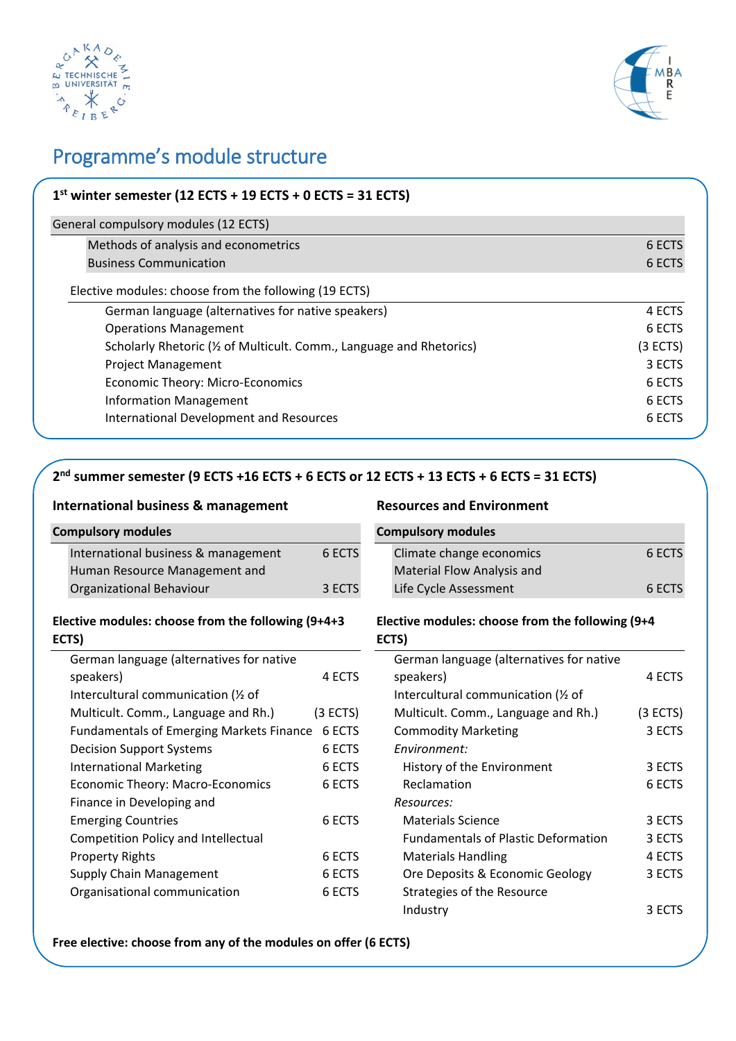



# Programme's module structure

| $1st$ winter semester (12 ECTS + 19 ECTS + 0 ECTS = 31 ECTS)         |          |
|----------------------------------------------------------------------|----------|
| General compulsory modules (12 ECTS)                                 |          |
| Methods of analysis and econometrics                                 | 6 ECTS   |
| <b>Business Communication</b>                                        | 6 ECTS   |
| Elective modules: choose from the following (19 ECTS)                |          |
| German language (alternatives for native speakers)                   | 4 ECTS   |
| <b>Operations Management</b>                                         | 6 ECTS   |
| Scholarly Rhetoric (1/2 of Multicult. Comm., Language and Rhetorics) | (3 ECTS) |
| <b>Project Management</b>                                            | 3 ECTS   |
| Economic Theory: Micro-Economics                                     | 6 ECTS   |
| <b>Information Management</b>                                        | 6 ECTS   |
| <b>International Development and Resources</b>                       | 6 ECTS   |

## **2nd summer semester (9 ECTS +16 ECTS + 6 ECTS or 12 ECTS + 13 ECTS + 6 ECTS = 31 ECTS)**

#### **International business & management**

| <b>Compulsory modules</b>           |        |
|-------------------------------------|--------|
| International business & management | 6 ECTS |
| Human Resource Management and       |        |
| Organizational Behaviour            | 3 ECTS |

#### **Elective modules: choose from the following (9+4+3 ECTS)**

| German language (alternatives for native        |          |
|-------------------------------------------------|----------|
| speakers)                                       | 4 ECTS   |
| Intercultural communication (1/2 of             |          |
| Multicult. Comm., Language and Rh.)             | (3 ECTS) |
| <b>Fundamentals of Emerging Markets Finance</b> | 6 ECTS   |
| <b>Decision Support Systems</b>                 | 6 ECTS   |
| <b>International Marketing</b>                  | 6 ECTS   |
| Economic Theory: Macro-Economics                | 6 ECTS   |
| Finance in Developing and                       |          |
| <b>Emerging Countries</b>                       | 6 ECTS   |
| <b>Competition Policy and Intellectual</b>      |          |
| <b>Property Rights</b>                          | 6 ECTS   |
| <b>Supply Chain Management</b>                  | 6 ECTS   |
| Organisational communication                    | 6 ECTS   |
|                                                 |          |

#### **Resources and Environment**

| <b>Compulsory modules</b>         |        |
|-----------------------------------|--------|
| Climate change economics          | 6 ECTS |
| <b>Material Flow Analysis and</b> |        |
| Life Cycle Assessment             | 6 ECTS |

#### **Elective modules: choose from the following (9+4 ECTS)**

| German language (alternatives for native   |          |
|--------------------------------------------|----------|
| speakers)                                  | 4 ECTS   |
| Intercultural communication (1/2 of        |          |
| Multicult. Comm., Language and Rh.)        | (3 ECTS) |
| <b>Commodity Marketing</b>                 | 3 ECTS   |
| Environment:                               |          |
| History of the Environment                 | 3 ECTS   |
| Reclamation                                | 6 ECTS   |
| Resources:                                 |          |
| <b>Materials Science</b>                   | 3 ECTS   |
| <b>Fundamentals of Plastic Deformation</b> | 3 ECTS   |
| <b>Materials Handling</b>                  | 4 ECTS   |
| Ore Deposits & Economic Geology            | 3 ECTS   |
| Strategies of the Resource                 |          |
| Industry                                   | 3 ECTS   |

**Free elective: choose from any of the modules on offer (6 ECTS)**